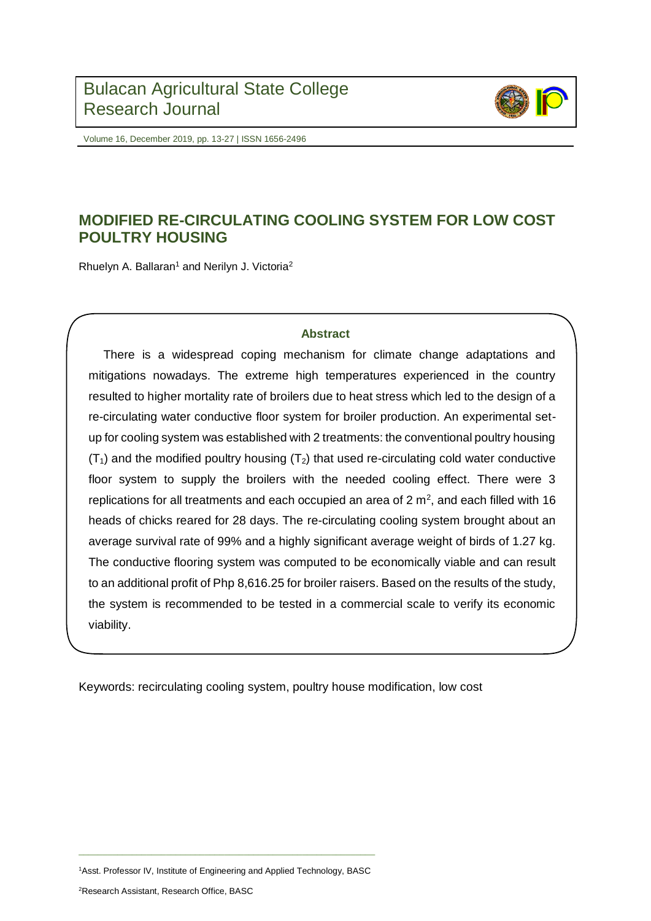

Volume 16, December 2019, pp. 13-27 | ISSN 1656-2496

# **MODIFIED RE-CIRCULATING COOLING SYSTEM FOR LOW COST POULTRY HOUSING**

Rhuelyn A. Ballaran<sup>1</sup> and Nerilyn J. Victoria<sup>2</sup>

### **Abstract**

There is a widespread coping mechanism for climate change adaptations and mitigations nowadays. The extreme high temperatures experienced in the country resulted to higher mortality rate of broilers due to heat stress which led to the design of a re-circulating water conductive floor system for broiler production. An experimental setup for cooling system was established with 2 treatments: the conventional poultry housing  $(T_1)$  and the modified poultry housing  $(T_2)$  that used re-circulating cold water conductive floor system to supply the broilers with the needed cooling effect. There were 3 replications for all treatments and each occupied an area of  $2 \text{ m}^2$ , and each filled with 16 heads of chicks reared for 28 days. The re-circulating cooling system brought about an average survival rate of 99% and a highly significant average weight of birds of 1.27 kg. The conductive flooring system was computed to be economically viable and can result to an additional profit of Php 8,616.25 for broiler raisers. Based on the results of the study, the system is recommended to be tested in a commercial scale to verify its economic viability.

Keywords: recirculating cooling system, poultry house modification, low cost

 $\_$  , and the set of the set of the set of the set of the set of the set of the set of the set of the set of the set of the set of the set of the set of the set of the set of the set of the set of the set of the set of th <sup>1</sup>Asst. Professor IV, Institute of Engineering and Applied Technology, BASC

<sup>2</sup>Research Assistant, Research Office, BASC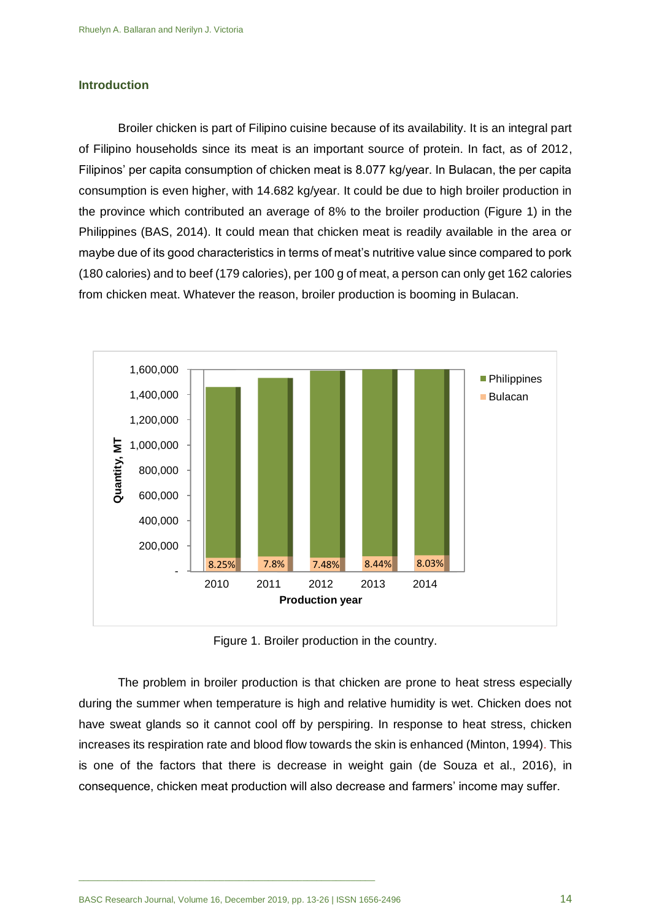#### **Introduction**

Broiler chicken is part of Filipino cuisine because of its availability. It is an integral part of Filipino households since its meat is an important source of protein. In fact, as of 2012, Filipinos' per capita consumption of chicken meat is 8.077 kg/year. In Bulacan, the per capita consumption is even higher, with 14.682 kg/year. It could be due to high broiler production in the province which contributed an average of 8% to the broiler production (Figure 1) in the Philippines (BAS, 2014). It could mean that chicken meat is readily available in the area or maybe due of its good characteristics in terms of meat's nutritive value since compared to pork (180 calories) and to beef (179 calories), per 100 g of meat, a person can only get 162 calories from chicken meat. Whatever the reason, broiler production is booming in Bulacan.



Figure 1. Broiler production in the country.

The problem in broiler production is that chicken are prone to heat stress especially during the summer when temperature is high and relative humidity is wet. Chicken does not have sweat glands so it cannot cool off by perspiring. In response to heat stress, chicken increases its respiration rate and blood flow towards the skin is enhanced (Minton, 1994). This is one of the factors that there is decrease in weight gain (de Souza et al., 2016), in consequence, chicken meat production will also decrease and farmers' income may suffer.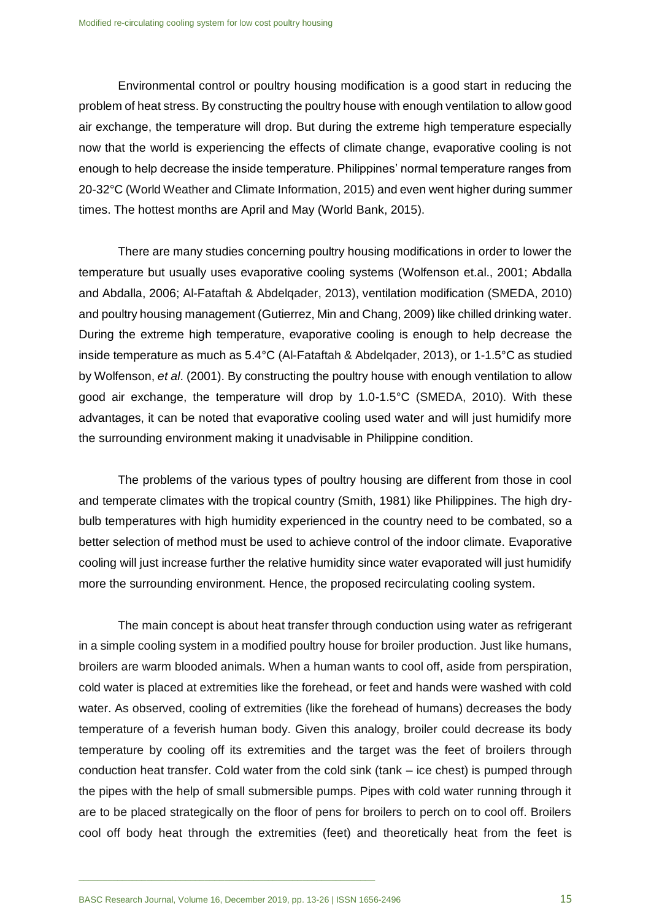Environmental control or poultry housing modification is a good start in reducing the problem of heat stress. By constructing the poultry house with enough ventilation to allow good air exchange, the temperature will drop. But during the extreme high temperature especially now that the world is experiencing the effects of climate change, evaporative cooling is not enough to help decrease the inside temperature. Philippines' normal temperature ranges from 20-32°C (World Weather and Climate Information, 2015) and even went higher during summer times. The hottest months are April and May (World Bank, 2015).

There are many studies concerning poultry housing modifications in order to lower the temperature but usually uses evaporative cooling systems (Wolfenson et.al., 2001; Abdalla and Abdalla, 2006; Al-Fataftah & Abdelqader, 2013), ventilation modification (SMEDA, 2010) and poultry housing management (Gutierrez, Min and Chang, 2009) like chilled drinking water. During the extreme high temperature, evaporative cooling is enough to help decrease the inside temperature as much as 5.4°C (Al-Fataftah & Abdelqader, 2013), or 1-1.5°C as studied by Wolfenson, *et al*. (2001). By constructing the poultry house with enough ventilation to allow good air exchange, the temperature will drop by 1.0-1.5°C (SMEDA, 2010). With these advantages, it can be noted that evaporative cooling used water and will just humidify more the surrounding environment making it unadvisable in Philippine condition.

The problems of the various types of poultry housing are different from those in cool and temperate climates with the tropical country (Smith, 1981) like Philippines. The high drybulb temperatures with high humidity experienced in the country need to be combated, so a better selection of method must be used to achieve control of the indoor climate. Evaporative cooling will just increase further the relative humidity since water evaporated will just humidify more the surrounding environment. Hence, the proposed recirculating cooling system.

The main concept is about heat transfer through conduction using water as refrigerant in a simple cooling system in a modified poultry house for broiler production. Just like humans, broilers are warm blooded animals. When a human wants to cool off, aside from perspiration, cold water is placed at extremities like the forehead, or feet and hands were washed with cold water. As observed, cooling of extremities (like the forehead of humans) decreases the body temperature of a feverish human body. Given this analogy, broiler could decrease its body temperature by cooling off its extremities and the target was the feet of broilers through conduction heat transfer. Cold water from the cold sink (tank – ice chest) is pumped through the pipes with the help of small submersible pumps. Pipes with cold water running through it are to be placed strategically on the floor of pens for broilers to perch on to cool off. Broilers cool off body heat through the extremities (feet) and theoretically heat from the feet is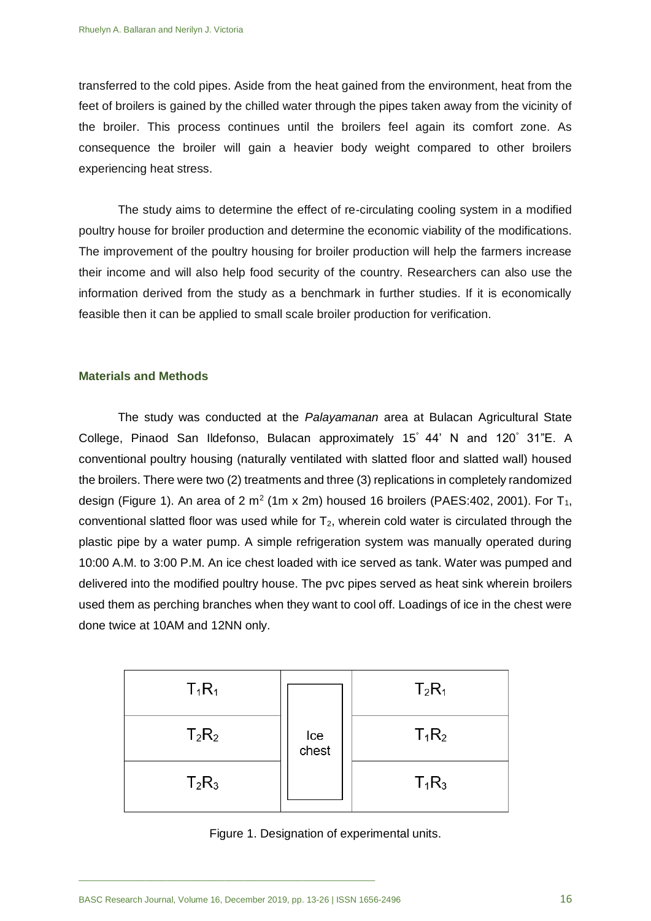transferred to the cold pipes. Aside from the heat gained from the environment, heat from the feet of broilers is gained by the chilled water through the pipes taken away from the vicinity of the broiler. This process continues until the broilers feel again its comfort zone. As consequence the broiler will gain a heavier body weight compared to other broilers experiencing heat stress.

The study aims to determine the effect of re-circulating cooling system in a modified poultry house for broiler production and determine the economic viability of the modifications. The improvement of the poultry housing for broiler production will help the farmers increase their income and will also help food security of the country. Researchers can also use the information derived from the study as a benchmark in further studies. If it is economically feasible then it can be applied to small scale broiler production for verification.

#### **Materials and Methods**

The study was conducted at the *Palayamanan* area at Bulacan Agricultural State College, Pinaod San Ildefonso, Bulacan approximately 15° 44' N and 120° 31"E. A conventional poultry housing (naturally ventilated with slatted floor and slatted wall) housed the broilers. There were two (2) treatments and three (3) replications in completely randomized design (Figure 1). An area of 2 m<sup>2</sup> (1m x 2m) housed 16 broilers (PAES:402, 2001). For T<sub>1</sub>, conventional slatted floor was used while for  $T_2$ , wherein cold water is circulated through the plastic pipe by a water pump. A simple refrigeration system was manually operated during 10:00 A.M. to 3:00 P.M. An ice chest loaded with ice served as tank. Water was pumped and delivered into the modified poultry house. The pvc pipes served as heat sink wherein broilers used them as perching branches when they want to cool off. Loadings of ice in the chest were done twice at 10AM and 12NN only.

| $T_1R_1$ |              | $T_2R_1$ |
|----------|--------------|----------|
| $T_2R_2$ | lce<br>chest | $T_1R_2$ |
| $T_2R_3$ |              | $T_1R_3$ |

Figure 1. Designation of experimental units.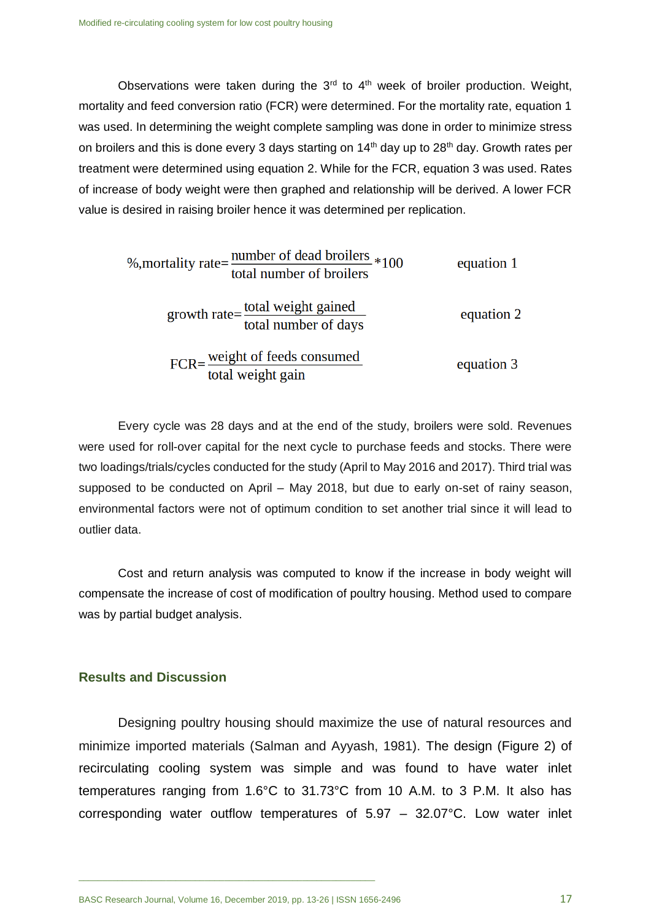Observations were taken during the  $3<sup>rd</sup>$  to  $4<sup>th</sup>$  week of broiler production. Weight, mortality and feed conversion ratio (FCR) were determined. For the mortality rate, equation 1 was used. In determining the weight complete sampling was done in order to minimize stress on broilers and this is done every 3 days starting on  $14<sup>th</sup>$  day up to  $28<sup>th</sup>$  day. Growth rates per treatment were determined using equation 2. While for the FCR, equation 3 was used. Rates of increase of body weight were then graphed and relationship will be derived. A lower FCR value is desired in raising broiler hence it was determined per replication.

| %,mortality rate= number of dead broilers *100<br>total number of broilers | equation 1 |
|----------------------------------------------------------------------------|------------|
| growth rate= total weight gained<br>total number of days                   | equation 2 |
| FCR= weight of feeds consumed<br>total weight gain                         | equation 3 |

Every cycle was 28 days and at the end of the study, broilers were sold. Revenues were used for roll-over capital for the next cycle to purchase feeds and stocks. There were two loadings/trials/cycles conducted for the study (April to May 2016 and 2017). Third trial was supposed to be conducted on April – May 2018, but due to early on-set of rainy season, environmental factors were not of optimum condition to set another trial since it will lead to outlier data.

Cost and return analysis was computed to know if the increase in body weight will compensate the increase of cost of modification of poultry housing. Method used to compare was by partial budget analysis.

#### **Results and Discussion**

Designing poultry housing should maximize the use of natural resources and minimize imported materials (Salman and Ayyash, 1981). The design (Figure 2) of recirculating cooling system was simple and was found to have water inlet temperatures ranging from 1.6°C to 31.73°C from 10 A.M. to 3 P.M. It also has corresponding water outflow temperatures of 5.97 – 32.07°C. Low water inlet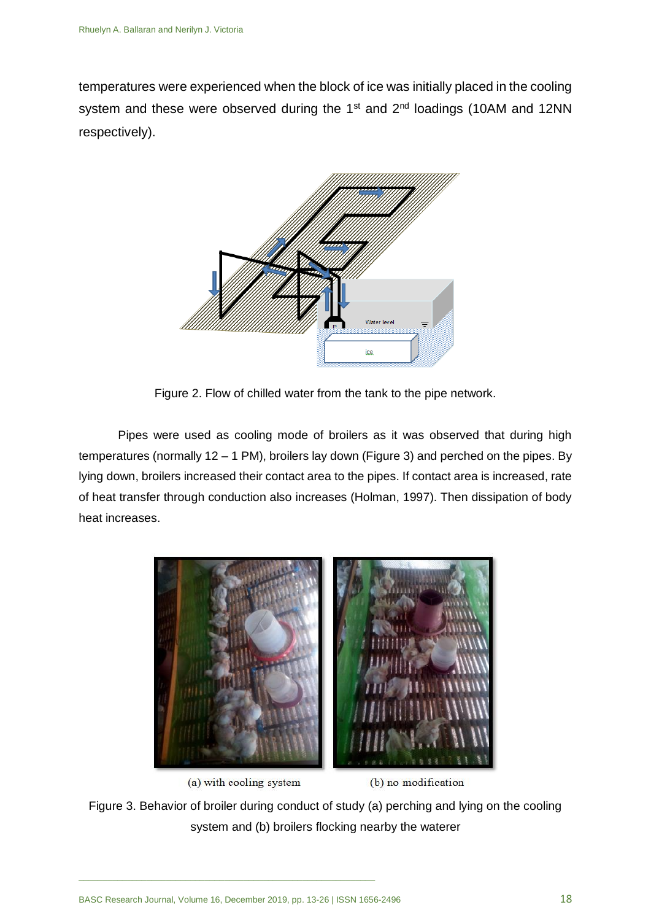temperatures were experienced when the block of ice was initially placed in the cooling system and these were observed during the 1<sup>st</sup> and 2<sup>nd</sup> loadings (10AM and 12NN respectively).



Figure 2. Flow of chilled water from the tank to the pipe network.

Pipes were used as cooling mode of broilers as it was observed that during high temperatures (normally 12 – 1 PM), broilers lay down (Figure 3) and perched on the pipes. By lying down, broilers increased their contact area to the pipes. If contact area is increased, rate of heat transfer through conduction also increases (Holman, 1997). Then dissipation of body heat increases.



(a) with cooling system

(b) no modification

Figure 3. Behavior of broiler during conduct of study (a) perching and lying on the cooling system and (b) broilers flocking nearby the waterer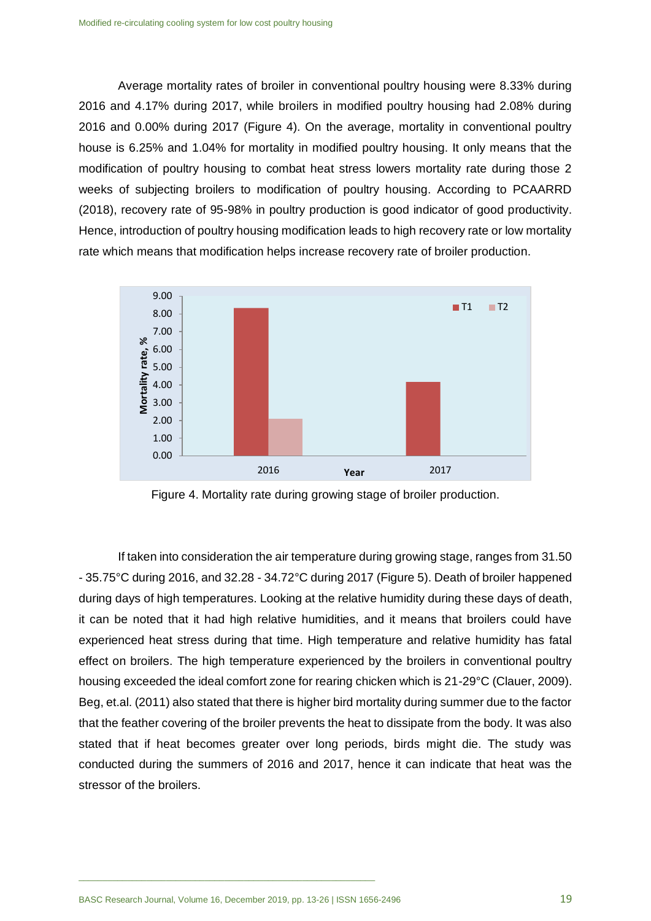Average mortality rates of broiler in conventional poultry housing were 8.33% during 2016 and 4.17% during 2017, while broilers in modified poultry housing had 2.08% during 2016 and 0.00% during 2017 (Figure 4). On the average, mortality in conventional poultry house is 6.25% and 1.04% for mortality in modified poultry housing. It only means that the modification of poultry housing to combat heat stress lowers mortality rate during those 2 weeks of subjecting broilers to modification of poultry housing. According to PCAARRD (2018), recovery rate of 95-98% in poultry production is good indicator of good productivity. Hence, introduction of poultry housing modification leads to high recovery rate or low mortality rate which means that modification helps increase recovery rate of broiler production.



Figure 4. Mortality rate during growing stage of broiler production.

If taken into consideration the air temperature during growing stage, ranges from 31.50 - 35.75°C during 2016, and 32.28 - 34.72°C during 2017 (Figure 5). Death of broiler happened during days of high temperatures. Looking at the relative humidity during these days of death, it can be noted that it had high relative humidities, and it means that broilers could have experienced heat stress during that time. High temperature and relative humidity has fatal effect on broilers. The high temperature experienced by the broilers in conventional poultry housing exceeded the ideal comfort zone for rearing chicken which is 21-29°C (Clauer, 2009). Beg, et.al. (2011) also stated that there is higher bird mortality during summer due to the factor that the feather covering of the broiler prevents the heat to dissipate from the body. It was also stated that if heat becomes greater over long periods, birds might die. The study was conducted during the summers of 2016 and 2017, hence it can indicate that heat was the stressor of the broilers.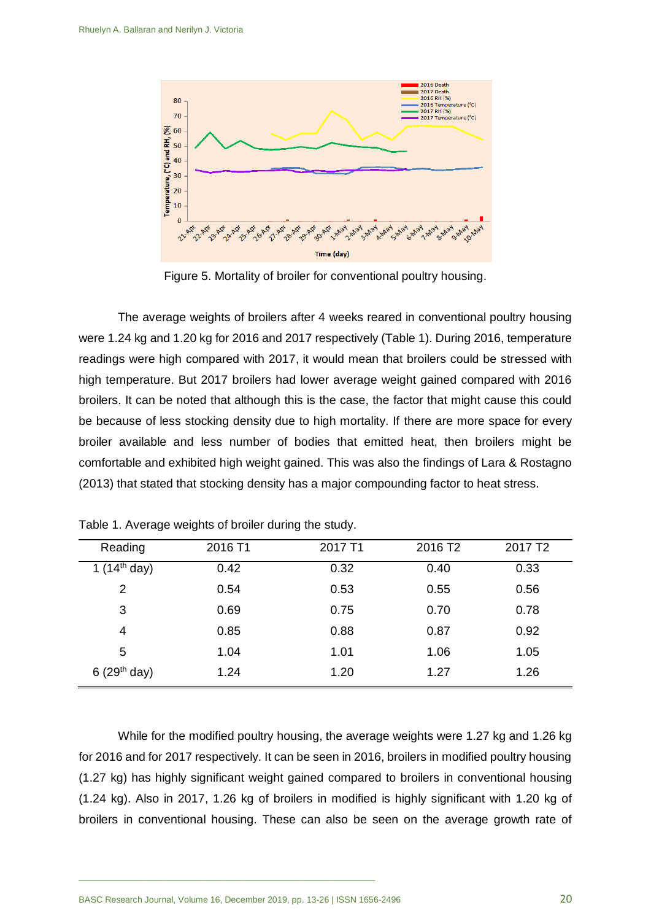

Figure 5. Mortality of broiler for conventional poultry housing.

The average weights of broilers after 4 weeks reared in conventional poultry housing were 1.24 kg and 1.20 kg for 2016 and 2017 respectively (Table 1). During 2016, temperature readings were high compared with 2017, it would mean that broilers could be stressed with high temperature. But 2017 broilers had lower average weight gained compared with 2016 broilers. It can be noted that although this is the case, the factor that might cause this could be because of less stocking density due to high mortality. If there are more space for every broiler available and less number of bodies that emitted heat, then broilers might be comfortable and exhibited high weight gained. This was also the findings of Lara & Rostagno (2013) that stated that stocking density has a major compounding factor to heat stress.

| Reading                  | 2016 T1 | 2017 T1 | 2016 T <sub>2</sub> | 2017 T <sub>2</sub> |
|--------------------------|---------|---------|---------------------|---------------------|
| 1 $(14^{th}$ day)        | 0.42    | 0.32    | 0.40                | 0.33                |
| 2                        | 0.54    | 0.53    | 0.55                | 0.56                |
| 3                        | 0.69    | 0.75    | 0.70                | 0.78                |
| 4                        | 0.85    | 0.88    | 0.87                | 0.92                |
| 5                        | 1.04    | 1.01    | 1.06                | 1.05                |
| 6 (29 <sup>th</sup> day) | 1.24    | 1.20    | 1.27                | 1.26                |

Table 1. Average weights of broiler during the study.

While for the modified poultry housing, the average weights were 1.27 kg and 1.26 kg for 2016 and for 2017 respectively. It can be seen in 2016, broilers in modified poultry housing (1.27 kg) has highly significant weight gained compared to broilers in conventional housing (1.24 kg). Also in 2017, 1.26 kg of broilers in modified is highly significant with 1.20 kg of broilers in conventional housing. These can also be seen on the average growth rate of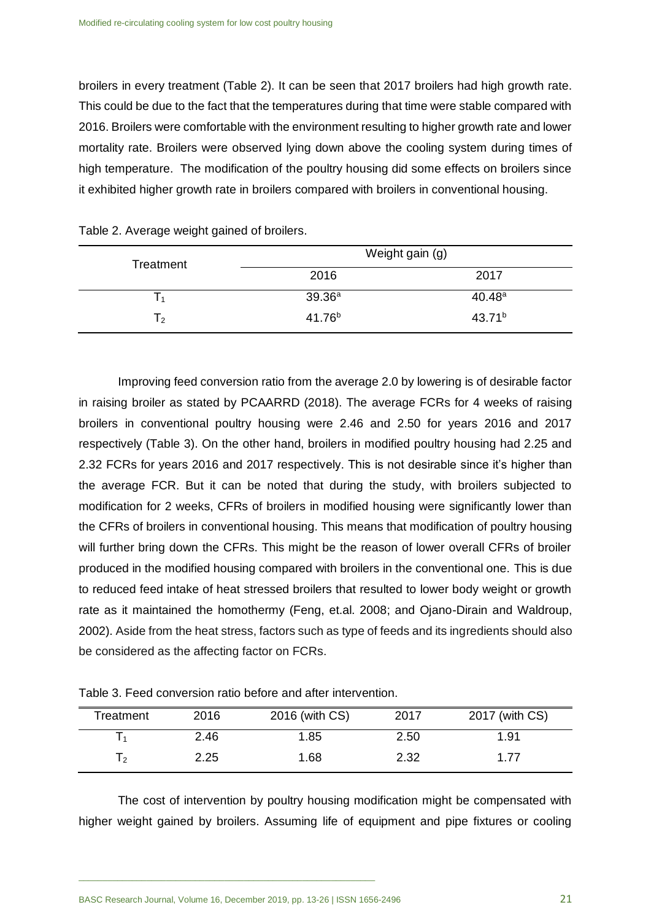broilers in every treatment (Table 2). It can be seen that 2017 broilers had high growth rate. This could be due to the fact that the temperatures during that time were stable compared with 2016. Broilers were comfortable with the environment resulting to higher growth rate and lower mortality rate. Broilers were observed lying down above the cooling system during times of high temperature. The modification of the poultry housing did some effects on broilers since it exhibited higher growth rate in broilers compared with broilers in conventional housing.

| Treatment      |                    | Weight gain (g)    |
|----------------|--------------------|--------------------|
|                | 2016               | 2017               |
| $\Gamma$       | 39.36a             | 40.48a             |
| $\mathsf{T}_2$ | 41.76 <sup>b</sup> | 43.71 <sup>b</sup> |

Improving feed conversion ratio from the average 2.0 by lowering is of desirable factor in raising broiler as stated by PCAARRD (2018). The average FCRs for 4 weeks of raising broilers in conventional poultry housing were 2.46 and 2.50 for years 2016 and 2017 respectively (Table 3). On the other hand, broilers in modified poultry housing had 2.25 and 2.32 FCRs for years 2016 and 2017 respectively. This is not desirable since it's higher than the average FCR. But it can be noted that during the study, with broilers subjected to modification for 2 weeks, CFRs of broilers in modified housing were significantly lower than the CFRs of broilers in conventional housing. This means that modification of poultry housing will further bring down the CFRs. This might be the reason of lower overall CFRs of broiler produced in the modified housing compared with broilers in the conventional one. This is due to reduced feed intake of heat stressed broilers that resulted to lower body weight or growth rate as it maintained the homothermy (Feng, et.al. 2008; and Ojano-Dirain and Waldroup, 2002). Aside from the heat stress, factors such as type of feeds and its ingredients should also be considered as the affecting factor on FCRs.

| Table 3. Feed conversion ratio before and after intervention. |
|---------------------------------------------------------------|
|---------------------------------------------------------------|

| Treatment | 2016 | 2016 (with CS) | 2017 | 2017 (with CS) |
|-----------|------|----------------|------|----------------|
|           | 2.46 | 1.85           | 2.50 | 1.91           |
| T2        | 2.25 | 1.68           | 2.32 | 1.77           |

The cost of intervention by poultry housing modification might be compensated with higher weight gained by broilers. Assuming life of equipment and pipe fixtures or cooling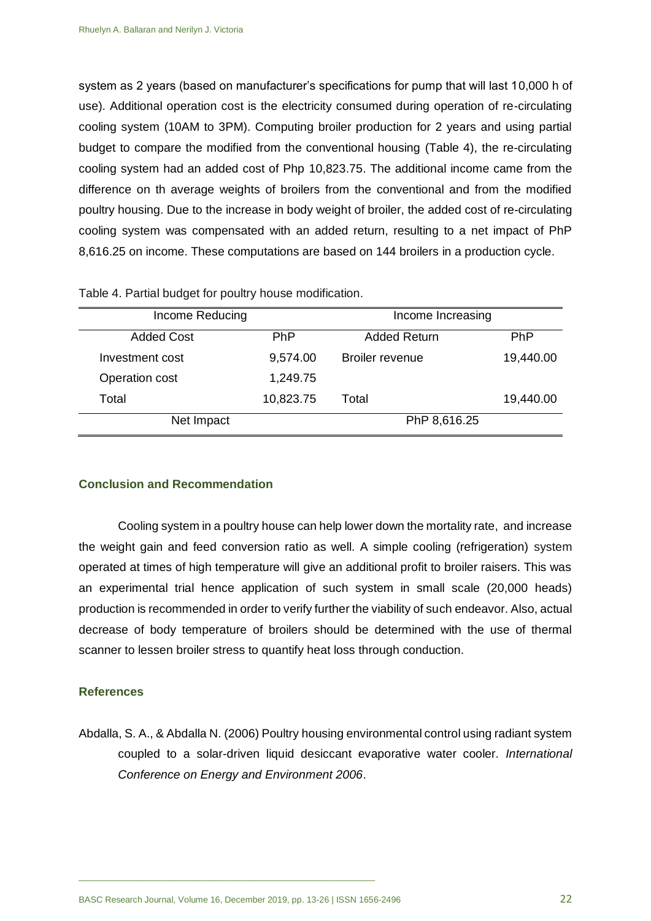system as 2 years (based on manufacturer's specifications for pump that will last 10,000 h of use). Additional operation cost is the electricity consumed during operation of re-circulating cooling system (10AM to 3PM). Computing broiler production for 2 years and using partial budget to compare the modified from the conventional housing (Table 4), the re-circulating cooling system had an added cost of Php 10,823.75. The additional income came from the difference on th average weights of broilers from the conventional and from the modified poultry housing. Due to the increase in body weight of broiler, the added cost of re-circulating cooling system was compensated with an added return, resulting to a net impact of PhP 8,616.25 on income. These computations are based on 144 broilers in a production cycle.

| Income Reducing   |            | Income Increasing      |            |  |
|-------------------|------------|------------------------|------------|--|
| <b>Added Cost</b> | <b>PhP</b> | <b>Added Return</b>    | <b>PhP</b> |  |
| Investment cost   | 9,574.00   | <b>Broiler revenue</b> | 19,440.00  |  |
| Operation cost    | 1,249.75   |                        |            |  |
| Total             | 10,823.75  | Total                  | 19,440.00  |  |
| Net Impact        |            | PhP 8,616.25           |            |  |

Table 4. Partial budget for poultry house modification.

#### **Conclusion and Recommendation**

Cooling system in a poultry house can help lower down the mortality rate, and increase the weight gain and feed conversion ratio as well. A simple cooling (refrigeration) system operated at times of high temperature will give an additional profit to broiler raisers. This was an experimental trial hence application of such system in small scale (20,000 heads) production is recommended in order to verify further the viability of such endeavor. Also, actual decrease of body temperature of broilers should be determined with the use of thermal scanner to lessen broiler stress to quantify heat loss through conduction.

#### **References**

Abdalla, S. A., & Abdalla N. (2006) Poultry housing environmental control using radiant system coupled to a solar-driven liquid desiccant evaporative water cooler. *International Conference on Energy and Environment 2006*.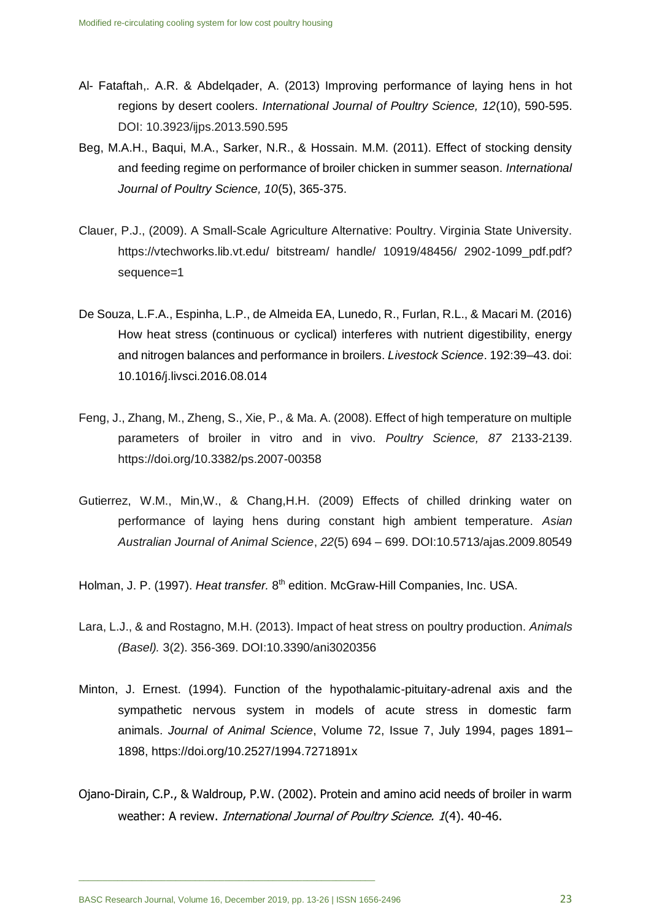- Al- Fataftah,. A.R. & Abdelqader, A. (2013) Improving performance of laying hens in hot regions by desert coolers. *International Journal of Poultry Science, 12*(10), 590-595. DOI: 10.3923/ijps.2013.590.595
- Beg, M.A.H., Baqui, M.A., Sarker, N.R., & Hossain. M.M. (2011). Effect of stocking density and feeding regime on performance of broiler chicken in summer season. *International Journal of Poultry Science, 10*(5), 365-375.
- Clauer, P.J., (2009). A Small-Scale Agriculture Alternative: Poultry. Virginia State University. https://vtechworks.lib.vt.edu/ bitstream/ handle/ 10919/48456/ 2902-1099\_pdf.pdf? sequence=1
- De Souza, L.F.A., Espinha, L.P., de Almeida EA, Lunedo, R., Furlan, R.L., & Macari M. (2016) How heat stress (continuous or cyclical) interferes with nutrient digestibility, energy and nitrogen balances and performance in broilers. *Livestock Science*. 192:39–43. doi: 10.1016/j.livsci.2016.08.014
- Feng, J., Zhang, M., Zheng, S., Xie, P., & Ma. A. (2008). Effect of high temperature on multiple parameters of broiler in vitro and in vivo. *Poultry Science, 87* 2133-2139. https://doi.org/10.3382/ps.2007-00358
- Gutierrez, W.M., Min,W., & Chang,H.H. (2009) Effects of chilled drinking water on performance of laying hens during constant high ambient temperature. *Asian Australian Journal of Animal Science*, *22*(5) 694 – 699. DOI:10.5713/ajas.2009.80549

Holman, J. P. (1997). Heat transfer. 8<sup>th</sup> edition. McGraw-Hill Companies, Inc. USA.

- Lara, L.J., & and Rostagno, M.H. (2013). Impact of heat stress on poultry production. *Animals (Basel).* 3(2). 356-369. DOI:10.3390/ani3020356
- Minton, J. Ernest. (1994). Function of the hypothalamic-pituitary-adrenal axis and the sympathetic nervous system in models of acute stress in domestic farm animals. *Journal of Animal Science*, Volume 72, Issue 7, July 1994, pages 1891– 1898, <https://doi.org/10.2527/1994.7271891x>
- Ojano-Dirain, C.P., & Waldroup, P.W. (2002). Protein and amino acid needs of broiler in warm weather: A review. *International Journal of Poultry Science.* 1(4), 40-46.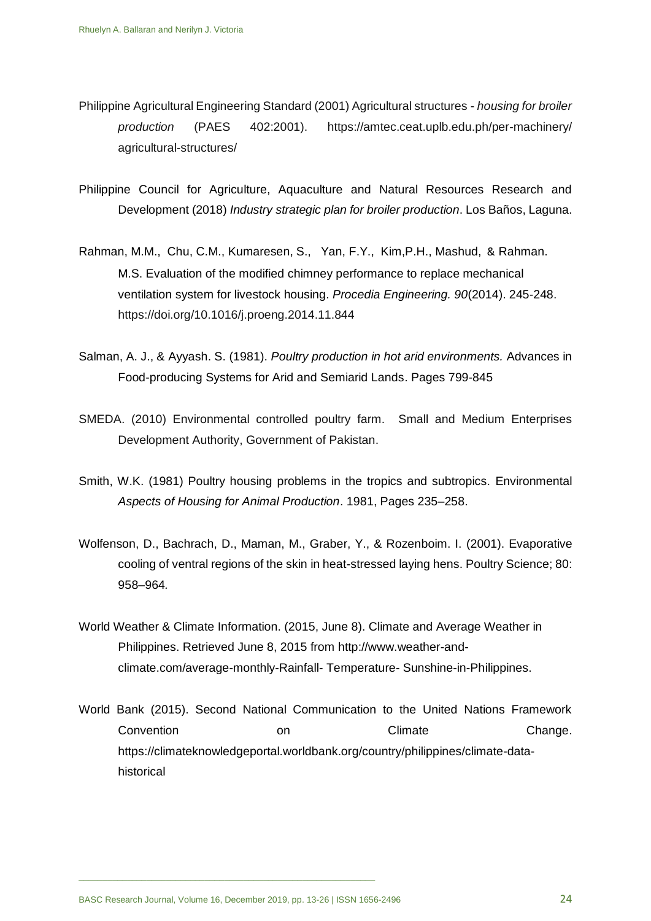- Philippine Agricultural Engineering Standard (2001) Agricultural structures *housing for broiler production* (PAES 402:2001). https://amtec.ceat.uplb.edu.ph/per-machinery/ agricultural-structures/
- Philippine Council for Agriculture, Aquaculture and Natural Resources Research and Development (2018) *Industry strategic plan for broiler production*. Los Baños, Laguna.
- Rahman, M.M., Chu, C.M., Kumaresen, S., Yan, F.Y., Kim,P.H., Mashud, & Rahman. M.S. [Evaluation of the modified chimney performance to replace mechanical](http://www.sciencedirect.com/science/article/pii/S1877705814029816)  [ventilation system for livestock housing.](http://www.sciencedirect.com/science/article/pii/S1877705814029816) *Procedia Engineering. 90*(2014). 245-248. <https://doi.org/10.1016/j.proeng.2014.11.844>
- Salman, A. J., & Ayyash. S. (1981). *Poultry production in hot arid environments.* Advances in Food-producing Systems for Arid and Semiarid Lands. Pages 799-845
- SMEDA. (2010) Environmental controlled poultry farm. Small and Medium Enterprises Development Authority, Government of Pakistan.
- Smith, W.K. (1981) Poultry housing problems in the tropics and subtropics. [Environmental](http://www.sciencedirect.com/science/book/9780408106887)  *[Aspects of Housing for Animal Production](http://www.sciencedirect.com/science/book/9780408106887)*. 1981, Pages 235–258.
- Wolfenson, D., Bachrach, D., Maman, M., Graber, Y., & Rozenboim. I. (2001). Evaporative cooling of ventral regions of the skin in heat-stressed laying hens. Poultry Science; 80: 958–964*.*
- World Weather & Climate Information. (2015, June 8). Climate and Average Weather in Philippines. Retrieved June 8, 2015 from http://www.weather-andclimate.com/average-monthly-Rainfall- Temperature- Sunshine-in-Philippines.
- World Bank (2015). Second National Communication to the United Nations Framework Convention **Convention** on Climate Change. https://climateknowledgeportal.worldbank.org/country/philippines/climate-datahistorical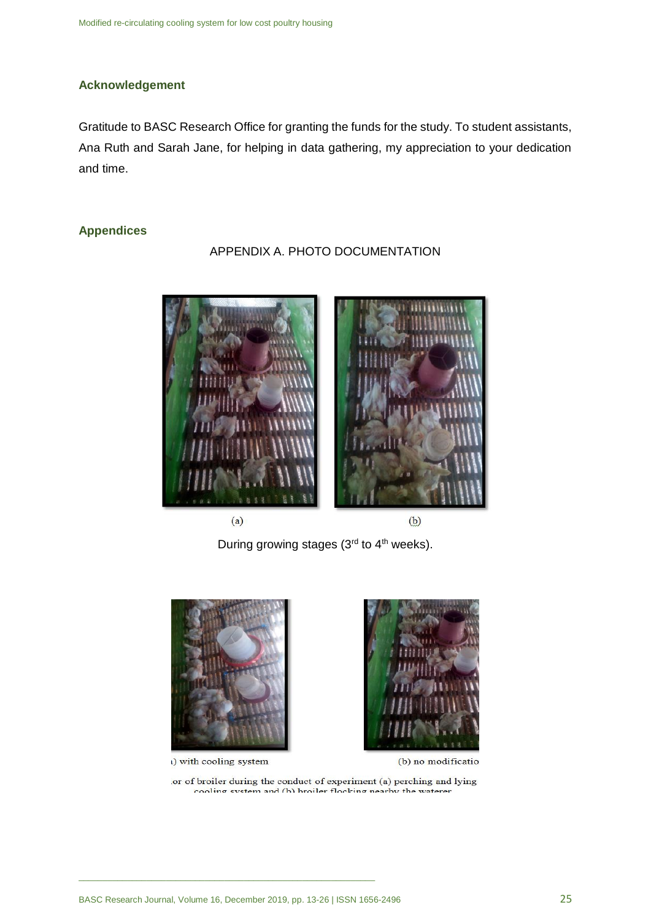# **Acknowledgement**

Gratitude to BASC Research Office for granting the funds for the study. To student assistants, Ana Ruth and Sarah Jane, for helping in data gathering, my appreciation to your dedication and time.

## **Appendices**

APPENDIX A. PHOTO DOCUMENTATION



 $(a)$ 

 $(b)$ 

During growing stages  $(3<sup>rd</sup>$  to  $4<sup>th</sup>$  weeks).



() with cooling system



(b) no modification

or of broiler during the conduct of experiment (a) perching and lying cooling system and (b) broiler flocking nearby the waterer